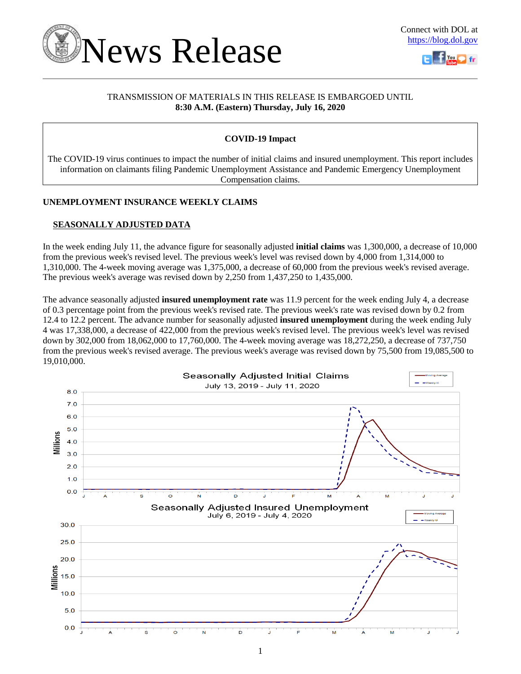



### TRANSMISSION OF MATERIALS IN THIS RELEASE IS EMBARGOED UNTIL **8:30 A.M. (Eastern) Thursday, July 16, 2020**

### **COVID-19 Impact**

The COVID-19 virus continues to impact the number of initial claims and insured unemployment. This report includes information on claimants filing Pandemic Unemployment Assistance and Pandemic Emergency Unemployment Compensation claims.

### **UNEMPLOYMENT INSURANCE WEEKLY CLAIMS**

### **SEASONALLY ADJUSTED DATA**

In the week ending July 11, the advance figure for seasonally adjusted **initial claims** was 1,300,000, a decrease of 10,000 from the previous week's revised level. The previous week's level was revised down by 4,000 from 1,314,000 to 1,310,000. The 4-week moving average was 1,375,000, a decrease of 60,000 from the previous week's revised average. The previous week's average was revised down by 2,250 from 1,437,250 to 1,435,000.

The advance seasonally adjusted **insured unemployment rate** was 11.9 percent for the week ending July 4, a decrease of 0.3 percentage point from the previous week's revised rate. The previous week's rate was revised down by 0.2 from 12.4 to 12.2 percent. The advance number for seasonally adjusted **insured unemployment** during the week ending July 4 was 17,338,000, a decrease of 422,000 from the previous week's revised level. The previous week's level was revised down by 302,000 from 18,062,000 to 17,760,000. The 4-week moving average was 18,272,250, a decrease of 737,750 from the previous week's revised average. The previous week's average was revised down by 75,500 from 19,085,500 to 19,010,000.

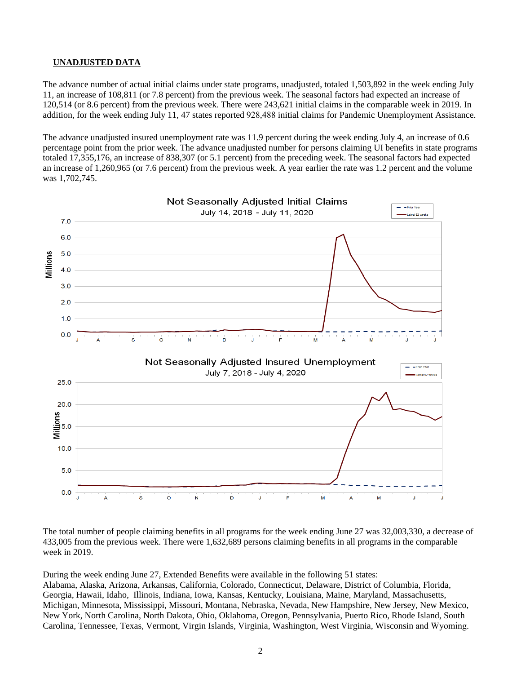### **UNADJUSTED DATA**

The advance number of actual initial claims under state programs, unadjusted, totaled 1,503,892 in the week ending July 11, an increase of 108,811 (or 7.8 percent) from the previous week. The seasonal factors had expected an increase of 120,514 (or 8.6 percent) from the previous week. There were 243,621 initial claims in the comparable week in 2019. In addition, for the week ending July 11, 47 states reported 928,488 initial claims for Pandemic Unemployment Assistance.

The advance unadjusted insured unemployment rate was 11.9 percent during the week ending July 4, an increase of 0.6 percentage point from the prior week. The advance unadjusted number for persons claiming UI benefits in state programs totaled 17,355,176, an increase of 838,307 (or 5.1 percent) from the preceding week. The seasonal factors had expected an increase of 1,260,965 (or 7.6 percent) from the previous week. A year earlier the rate was 1.2 percent and the volume was 1,702,745.



The total number of people claiming benefits in all programs for the week ending June 27 was 32,003,330, a decrease of 433,005 from the previous week. There were 1,632,689 persons claiming benefits in all programs in the comparable week in 2019.

During the week ending June 27, Extended Benefits were available in the following 51 states:

Alabama, Alaska, Arizona, Arkansas, California, Colorado, Connecticut, Delaware, District of Columbia, Florida, Georgia, Hawaii, Idaho, Illinois, Indiana, Iowa, Kansas, Kentucky, Louisiana, Maine, Maryland, Massachusetts, Michigan, Minnesota, Mississippi, Missouri, Montana, Nebraska, Nevada, New Hampshire, New Jersey, New Mexico, New York, North Carolina, North Dakota, Ohio, Oklahoma, Oregon, Pennsylvania, Puerto Rico, Rhode Island, South Carolina, Tennessee, Texas, Vermont, Virgin Islands, Virginia, Washington, West Virginia, Wisconsin and Wyoming.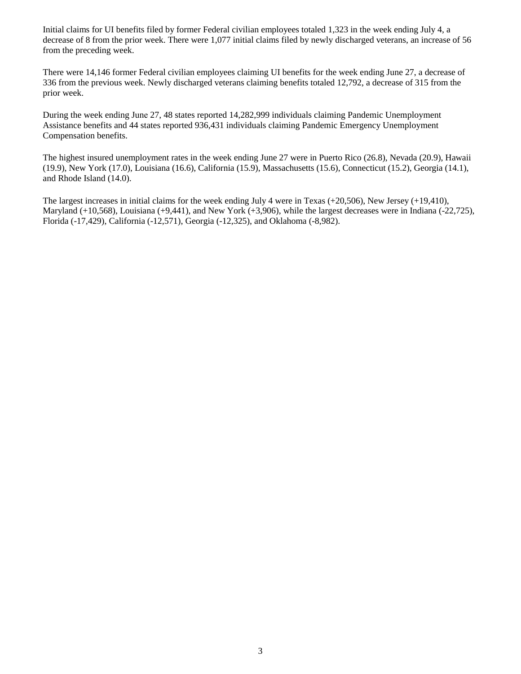Initial claims for UI benefits filed by former Federal civilian employees totaled 1,323 in the week ending July 4, a decrease of 8 from the prior week. There were 1,077 initial claims filed by newly discharged veterans, an increase of 56 from the preceding week.

There were 14,146 former Federal civilian employees claiming UI benefits for the week ending June 27, a decrease of 336 from the previous week. Newly discharged veterans claiming benefits totaled 12,792, a decrease of 315 from the prior week.

During the week ending June 27, 48 states reported 14,282,999 individuals claiming Pandemic Unemployment Assistance benefits and 44 states reported 936,431 individuals claiming Pandemic Emergency Unemployment Compensation benefits.

The highest insured unemployment rates in the week ending June 27 were in Puerto Rico (26.8), Nevada (20.9), Hawaii (19.9), New York (17.0), Louisiana (16.6), California (15.9), Massachusetts (15.6), Connecticut (15.2), Georgia (14.1), and Rhode Island (14.0).

The largest increases in initial claims for the week ending July 4 were in Texas (+20,506), New Jersey (+19,410), Maryland (+10,568), Louisiana (+9,441), and New York (+3,906), while the largest decreases were in Indiana (-22,725), Florida (-17,429), California (-12,571), Georgia (-12,325), and Oklahoma (-8,982).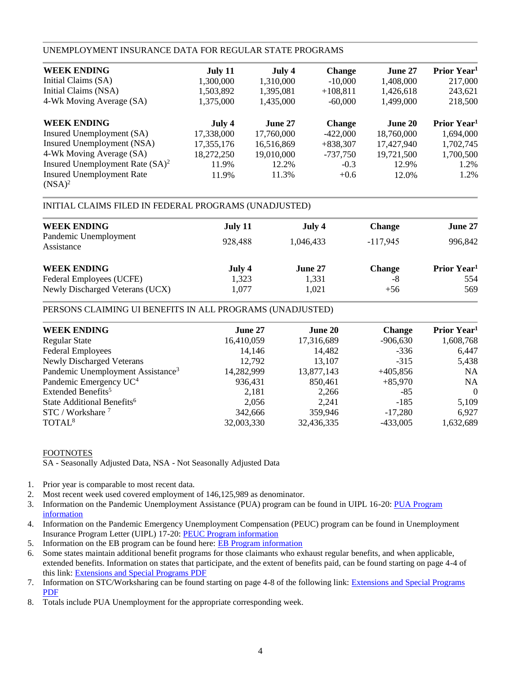### UNEMPLOYMENT INSURANCE DATA FOR REGULAR STATE PROGRAMS

| <b>WEEK ENDING</b>                            | July 11    | July 4     | <b>Change</b> | June 27    | Prior Year <sup>1</sup>        |
|-----------------------------------------------|------------|------------|---------------|------------|--------------------------------|
| Initial Claims (SA)                           | 1,300,000  | 1,310,000  | $-10,000$     | 1,408,000  | 217,000                        |
| Initial Claims (NSA)                          | 1,503,892  | 1,395,081  | $+108,811$    | 1,426,618  | 243,621                        |
| 4-Wk Moving Average (SA)                      | 1,375,000  | 1,435,000  | $-60,000$     | 1,499,000  | 218,500                        |
| <b>WEEK ENDING</b>                            | July 4     | June 27    | <b>Change</b> | June 20    | <b>Prior Year</b> <sup>1</sup> |
| Insured Unemployment (SA)                     | 17,338,000 | 17,760,000 | $-422,000$    | 18,760,000 | 1,694,000                      |
| Insured Unemployment (NSA)                    | 17,355,176 | 16,516,869 | $+838,307$    | 17,427,940 | 1,702,745                      |
| 4-Wk Moving Average (SA)                      | 18,272,250 | 19,010,000 | $-737,750$    | 19,721,500 | 1,700,500                      |
| Insured Unemployment Rate $(SA)^2$            | 11.9%      | 12.2%      | $-0.3$        | 12.9%      | 1.2%                           |
| <b>Insured Unemployment Rate</b><br>$(NSA)^2$ | 11.9%      | 11.3%      | $+0.6$        | 12.0%      | 1.2%                           |

### INITIAL CLAIMS FILED IN FEDERAL PROGRAMS (UNADJUSTED)

| <b>WEEK ENDING</b>                  | July 11 | July 4    | <b>Change</b> | June 27                 |
|-------------------------------------|---------|-----------|---------------|-------------------------|
| Pandemic Unemployment<br>Assistance | 928,488 | 1,046,433 | $-117,945$    | 996,842                 |
| <b>WEEK ENDING</b>                  | July 4  | June 27   | <b>Change</b> | Prior Year <sup>1</sup> |
| Federal Employees (UCFE)            | 1,323   | 1,331     | -8            | 554                     |
| Newly Discharged Veterans (UCX)     | 1,077   | 1,021     | $+56$         | 569                     |

### PERSONS CLAIMING UI BENEFITS IN ALL PROGRAMS (UNADJUSTED)

| <b>WEEK ENDING</b>                            | June 27    | June 20    | <b>Change</b> | Prior Year <sup>1</sup> |
|-----------------------------------------------|------------|------------|---------------|-------------------------|
| <b>Regular State</b>                          | 16,410,059 | 17,316,689 | $-906,630$    | 1,608,768               |
| <b>Federal Employees</b>                      | 14,146     | 14,482     | $-336$        | 6.447                   |
| <b>Newly Discharged Veterans</b>              | 12,792     | 13,107     | $-315$        | 5,438                   |
| Pandemic Unemployment Assistance <sup>3</sup> | 14,282,999 | 13,877,143 | $+405,856$    | <b>NA</b>               |
| Pandemic Emergency UC <sup>4</sup>            | 936,431    | 850,461    | $+85,970$     | <b>NA</b>               |
| Extended Benefits <sup>5</sup>                | 2,181      | 2,266      | $-85$         | $\theta$                |
| State Additional Benefits <sup>6</sup>        | 2,056      | 2.241      | $-185$        | 5,109                   |
| $STC / Workshare$ <sup>7</sup>                | 342,666    | 359,946    | $-17,280$     | 6.927                   |
| TOTAL <sup>8</sup>                            | 32,003,330 | 32,436,335 | $-433,005$    | 1,632,689               |
|                                               |            |            |               |                         |

### FOOTNOTES

SA - Seasonally Adjusted Data, NSA - Not Seasonally Adjusted Data

- 1. Prior year is comparable to most recent data.
- 2. Most recent week used covered employment of 146,125,989 as denominator.
- 3. Information on the Pandemic Unemployment Assistance (PUA) program can be found in UIPL 16-20: [PUA Program](https://wdr.doleta.gov/directives/corr_doc.cfm?DOCN=4628) [information](https://wdr.doleta.gov/directives/corr_doc.cfm?DOCN=4628)
- 4. Information on the Pandemic Emergency Unemployment Compensation (PEUC) program can be found in Unemployment Insurance Program Letter (UIPL) 17-20: [PEUC Program information](https://wdr.doleta.gov/directives/corr_doc.cfm?DOCN=8452)
- 5. Information on the EB program can be found here: **EB Program information**
- 6. Some states maintain additional benefit programs for those claimants who exhaust regular benefits, and when applicable, extended benefits. Information on states that participate, and the extent of benefits paid, can be found starting on page 4-4 of this link: [Extensions and Special Programs PDF](https://oui.doleta.gov/unemploy/pdf/uilawcompar/2019/special.pdf#page=4)
- 7. Information on STC/Worksharing can be found starting on page 4-8 of the following link: [Extensions and Special Programs](https://oui.doleta.gov/unemploy/pdf/uilawcompar/2019/special.pdf#page=8) [PDF](https://oui.doleta.gov/unemploy/pdf/uilawcompar/2019/special.pdf#page=8)
- 8. Totals include PUA Unemployment for the appropriate corresponding week.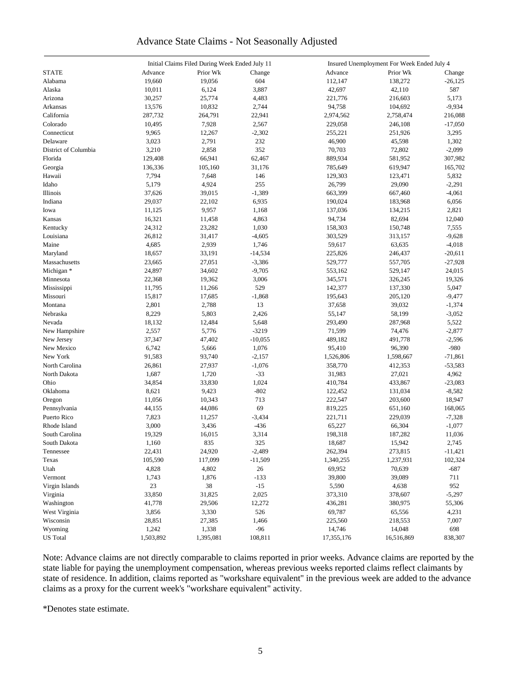### Advance State Claims - Not Seasonally Adjusted

|                      | Initial Claims Filed During Week Ended July 11 |           |           | Insured Unemployment For Week Ended July 4 |            |           |  |
|----------------------|------------------------------------------------|-----------|-----------|--------------------------------------------|------------|-----------|--|
| <b>STATE</b>         | Advance                                        | Prior Wk  | Change    | Advance                                    | Prior Wk   | Change    |  |
| Alabama              | 19,660                                         | 19,056    | 604       | 112,147                                    | 138,272    | $-26,125$ |  |
| Alaska               | 10,011                                         | 6,124     | 3,887     | 42,697                                     | 42,110     | 587       |  |
| Arizona              | 30,257                                         | 25,774    | 4,483     | 221,776                                    | 216,603    | 5,173     |  |
| Arkansas             | 13,576                                         | 10,832    | 2,744     | 94,758                                     | 104,692    | $-9,934$  |  |
| California           | 287,732                                        | 264,791   | 22,941    | 2,974,562                                  | 2,758,474  | 216,088   |  |
| Colorado             | 10,495                                         | 7,928     | 2,567     | 229,058                                    | 246,108    | $-17,050$ |  |
| Connecticut          | 9,965                                          | 12,267    | $-2,302$  | 255,221                                    | 251,926    | 3,295     |  |
| Delaware             | 3,023                                          | 2,791     | 232       | 46,900                                     | 45,598     | 1,302     |  |
| District of Columbia | 3,210                                          | 2,858     | 352       | 70,703                                     | 72,802     | $-2,099$  |  |
| Florida              | 129,408                                        | 66,941    | 62,467    | 889,934                                    | 581,952    | 307,982   |  |
| Georgia              | 136,336                                        | 105,160   | 31,176    | 785,649                                    | 619,947    | 165,702   |  |
| Hawaii               | 7,794                                          | 7,648     | 146       | 129,303                                    | 123,471    | 5,832     |  |
| Idaho                | 5,179                                          | 4,924     | 255       | 26,799                                     | 29,090     | $-2,291$  |  |
| Illinois             | 37,626                                         | 39,015    | $-1,389$  | 663,399                                    | 667,460    | $-4,061$  |  |
| Indiana              | 29,037                                         | 22,102    | 6,935     | 190,024                                    | 183,968    | 6,056     |  |
| Iowa                 | 11,125                                         | 9,957     | 1,168     | 137,036                                    | 134,215    | 2,821     |  |
| Kansas               | 16,321                                         | 11,458    | 4,863     | 94,734                                     | 82,694     | 12,040    |  |
| Kentucky             | 24,312                                         | 23,282    | 1,030     | 158,303                                    | 150,748    | 7,555     |  |
| Louisiana            | 26,812                                         | 31,417    | $-4,605$  | 303,529                                    | 313,157    | $-9,628$  |  |
| Maine                | 4,685                                          | 2,939     | 1,746     | 59,617                                     | 63,635     | $-4,018$  |  |
|                      |                                                |           |           |                                            |            |           |  |
| Maryland             | 18,657                                         | 33,191    | $-14,534$ | 225,826                                    | 246,437    | $-20,611$ |  |
| Massachusetts        | 23,665                                         | 27,051    | $-3,386$  | 529,777                                    | 557,705    | $-27,928$ |  |
| Michigan *           | 24,897                                         | 34,602    | $-9,705$  | 553,162                                    | 529,147    | 24,015    |  |
| Minnesota            | 22,368                                         | 19,362    | 3,006     | 345,571                                    | 326,245    | 19,326    |  |
| Mississippi          | 11,795                                         | 11,266    | 529       | 142,377                                    | 137,330    | 5,047     |  |
| Missouri             | 15,817                                         | 17,685    | $-1,868$  | 195,643                                    | 205,120    | $-9,477$  |  |
| Montana              | 2,801                                          | 2,788     | 13        | 37,658                                     | 39,032     | $-1,374$  |  |
| Nebraska             | 8,229                                          | 5,803     | 2,426     | 55,147                                     | 58,199     | $-3,052$  |  |
| Nevada               | 18,132                                         | 12,484    | 5,648     | 293,490                                    | 287,968    | 5,522     |  |
| New Hampshire        | 2,557                                          | 5,776     | $-3219$   | 71,599                                     | 74,476     | $-2,877$  |  |
| New Jersey           | 37,347                                         | 47,402    | $-10,055$ | 489,182                                    | 491,778    | $-2,596$  |  |
| New Mexico           | 6,742                                          | 5,666     | 1,076     | 95,410                                     | 96,390     | $-980$    |  |
| New York             | 91,583                                         | 93,740    | $-2,157$  | 1,526,806                                  | 1,598,667  | $-71,861$ |  |
| North Carolina       | 26,861                                         | 27,937    | $-1,076$  | 358,770                                    | 412,353    | $-53,583$ |  |
| North Dakota         | 1,687                                          | 1,720     | $-33$     | 31,983                                     | 27,021     | 4,962     |  |
| Ohio                 | 34,854                                         | 33,830    | 1,024     | 410,784                                    | 433,867    | $-23,083$ |  |
| Oklahoma             | 8,621                                          | 9,423     | $-802$    | 122,452                                    | 131,034    | $-8,582$  |  |
| Oregon               | 11,056                                         | 10,343    | 713       | 222,547                                    | 203,600    | 18,947    |  |
| Pennsylvania         | 44,155                                         | 44,086    | 69        | 819,225                                    | 651,160    | 168,065   |  |
| Puerto Rico          | 7,823                                          | 11,257    | $-3,434$  | 221,711                                    | 229,039    | $-7,328$  |  |
| Rhode Island         | 3,000                                          | 3,436     | $-436$    | 65,227                                     | 66,304     | $-1,077$  |  |
| South Carolina       | 19,329                                         | 16,015    | 3,314     | 198,318                                    | 187,282    | 11,036    |  |
| South Dakota         | 1,160                                          | 835       | 325       | 18,687                                     | 15,942     | 2,745     |  |
| Tennessee            | 22,431                                         | 24,920    | $-2,489$  | 262,394                                    | 273,815    | $-11,421$ |  |
| Texas                | 105,590                                        | 117,099   | $-11,509$ | 1,340,255                                  | 1,237,931  | 102,324   |  |
| Utah                 | 4,828                                          | 4,802     | 26        | 69,952                                     | 70,639     | $-687$    |  |
| Vermont              | 1,743                                          | 1,876     | $-133$    | 39,800                                     | 39,089     | 711       |  |
| Virgin Islands       | 23                                             | $38\,$    | $-15$     | 5,590                                      | 4,638      | 952       |  |
| Virginia             | 33,850                                         | 31,825    | 2,025     | 373,310                                    | 378,607    | $-5,297$  |  |
| Washington           | 41,778                                         | 29,506    | 12,272    | 436,281                                    | 380,975    | 55,306    |  |
| West Virginia        | 3,856                                          | 3,330     | 526       | 69,787                                     | 65,556     | 4,231     |  |
| Wisconsin            | 28,851                                         | 27,385    | 1,466     | 225,560                                    | 218,553    | 7,007     |  |
| Wyoming              | 1,242                                          | 1,338     | $-96$     | 14,746                                     | 14,048     | 698       |  |
| <b>US</b> Total      | 1,503,892                                      | 1,395,081 | 108,811   | 17,355,176                                 | 16,516,869 | 838,307   |  |
|                      |                                                |           |           |                                            |            |           |  |

Note: Advance claims are not directly comparable to claims reported in prior weeks. Advance claims are reported by the state liable for paying the unemployment compensation, whereas previous weeks reported claims reflect claimants by state of residence. In addition, claims reported as "workshare equivalent" in the previous week are added to the advance claims as a proxy for the current week's "workshare equivalent" activity.

\*Denotes state estimate.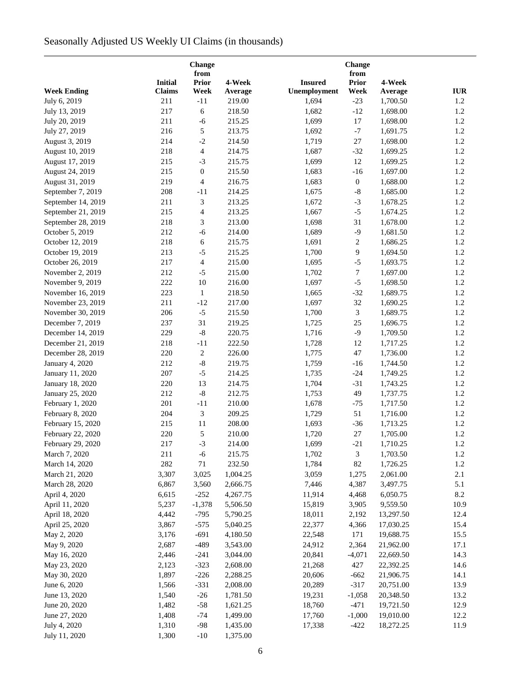# Seasonally Adjusted US Weekly UI Claims (in thousands)

| <b>Change</b>                        |                |                      |          |                |                             |                      |            |
|--------------------------------------|----------------|----------------------|----------|----------------|-----------------------------|----------------------|------------|
|                                      | <b>Initial</b> | from<br><b>Prior</b> | 4-Week   | <b>Insured</b> | from<br><b>Prior</b>        | 4-Week               |            |
| <b>Week Ending</b>                   | <b>Claims</b>  | Week                 | Average  | Unemployment   | Week                        | Average              | <b>IUR</b> |
| July 6, 2019                         | 211            | $-11$                | 219.00   | 1,694          | $-23$                       | 1,700.50             | 1.2        |
| July 13, 2019                        | 217            | 6                    | 218.50   | 1,682          | $-12$                       | 1,698.00             | 1.2        |
| July 20, 2019                        | 211            | $-6$                 | 215.25   | 1,699          | $17\,$                      | 1,698.00             | 1.2        |
| July 27, 2019                        | 216            | $\sqrt{5}$           | 213.75   | 1,692          | $-7$                        | 1,691.75             | 1.2        |
| August 3, 2019                       | 214            | $-2$                 | 214.50   | 1,719          | 27                          | 1,698.00             | 1.2        |
| August 10, 2019                      | 218            | $\overline{4}$       | 214.75   | 1,687          | $-32$                       | 1,699.25             | 1.2        |
| August 17, 2019                      | 215            | $-3$                 | 215.75   | 1,699          | 12                          | 1,699.25             | 1.2        |
| August 24, 2019                      | 215            | $\boldsymbol{0}$     | 215.50   | 1,683          | $-16$                       | 1,697.00             | 1.2        |
| August 31, 2019                      | 219            | $\overline{4}$       | 216.75   | 1,683          | $\boldsymbol{0}$            | 1,688.00             | 1.2        |
| September 7, 2019                    | 208            | $-11$                | 214.25   | 1,675          | $\text{-}8$                 | 1,685.00             | 1.2        |
| September 14, 2019                   | 211            | 3                    | 213.25   | 1,672          | $-3$                        | 1,678.25             | 1.2        |
| September 21, 2019                   | 215            | $\overline{4}$       | 213.25   | 1,667          | $-5$                        | 1,674.25             | 1.2        |
| September 28, 2019                   | 218            | 3                    | 213.00   | 1,698          | 31                          | 1,678.00             | 1.2        |
| October 5, 2019                      | 212            | $-6$                 | 214.00   | 1,689          | $-9$                        | 1,681.50             | 1.2        |
| October 12, 2019                     | 218            | 6                    | 215.75   | 1,691          | $\boldsymbol{2}$            | 1,686.25             | 1.2        |
| October 19, 2019                     | 213            | $-5$                 | 215.25   | 1,700          | 9                           | 1,694.50             | 1.2        |
|                                      | 217            | $\overline{4}$       | 215.00   |                | $-5$                        |                      | 1.2        |
| October 26, 2019<br>November 2, 2019 | 212            | $-5$                 | 215.00   | 1,695<br>1,702 | 7                           | 1,693.75<br>1,697.00 | 1.2        |
| November 9, 2019                     | 222            | 10                   | 216.00   | 1,697          | $-5$                        | 1,698.50             | 1.2        |
|                                      | 223            |                      | 218.50   |                | $-32$                       |                      | 1.2        |
| November 16, 2019                    |                | $\mathbf{1}$         |          | 1,665          |                             | 1,689.75             |            |
| November 23, 2019                    | 211            | $-12$                | 217.00   | 1,697          | 32                          | 1,690.25             | 1.2        |
| November 30, 2019                    | 206            | $-5$                 | 215.50   | 1,700          | $\ensuremath{\mathfrak{Z}}$ | 1,689.75             | 1.2        |
| December 7, 2019                     | 237            | 31                   | 219.25   | 1,725          | 25                          | 1,696.75             | 1.2        |
| December 14, 2019                    | 229            | $\mbox{-}8$          | 220.75   | 1,716          | $-9$                        | 1,709.50             | 1.2        |
| December 21, 2019                    | 218            | $-11$                | 222.50   | 1,728          | 12                          | 1,717.25             | $1.2\,$    |
| December 28, 2019                    | 220            | $\sqrt{2}$           | 226.00   | 1,775          | $47\,$                      | 1,736.00             | 1.2        |
| January 4, 2020                      | 212            | $\mbox{-}8$          | 219.75   | 1,759          | $-16$                       | 1,744.50             | 1.2        |
| January 11, 2020                     | 207            | $-5$                 | 214.25   | 1,735          | $-24$                       | 1,749.25             | 1.2        |
| January 18, 2020                     | 220            | 13                   | 214.75   | 1,704          | $-31$                       | 1,743.25             | 1.2        |
| January 25, 2020                     | 212            | $\mbox{-}8$          | 212.75   | 1,753          | 49                          | 1,737.75             | 1.2        |
| February 1, 2020                     | 201            | $-11$                | 210.00   | 1,678          | $-75$                       | 1,717.50             | 1.2        |
| February 8, 2020                     | 204            | $\mathfrak{Z}$       | 209.25   | 1,729          | 51                          | 1,716.00             | 1.2        |
| February 15, 2020                    | 215            | 11                   | 208.00   | 1,693          | $-36$                       | 1,713.25             | 1.2        |
| February 22, 2020                    | 220            | 5                    | 210.00   | 1,720          | $27\,$                      | 1,705.00             | $1.2\,$    |
| February 29, 2020                    | 217            | $-3$                 | 214.00   | 1,699          | $-21$                       | 1,710.25             | 1.2        |
| March 7, 2020                        | 211            | $-6$                 | 215.75   | 1,702          | 3                           | 1,703.50             | $1.2\,$    |
| March 14, 2020                       | 282            | $71\,$               | 232.50   | 1,784          | 82                          | 1,726.25             | 1.2        |
| March 21, 2020                       | 3,307          | 3,025                | 1,004.25 | 3,059          | 1,275                       | 2,061.00             | 2.1        |
| March 28, 2020                       | 6,867          | 3,560                | 2,666.75 | 7,446          | 4,387                       | 3,497.75             | 5.1        |
| April 4, 2020                        | 6,615          | $-252$               | 4,267.75 | 11,914         | 4,468                       | 6,050.75             | 8.2        |
| April 11, 2020                       | 5,237          | $-1,378$             | 5,506.50 | 15,819         | 3,905                       | 9,559.50             | 10.9       |
| April 18, 2020                       | 4,442          | $-795$               | 5,790.25 | 18,011         | 2,192                       | 13,297.50            | 12.4       |
| April 25, 2020                       | 3,867          | $-575$               | 5,040.25 | 22,377         | 4,366                       | 17,030.25            | 15.4       |
| May 2, 2020                          | 3,176          | $-691$               | 4,180.50 | 22,548         | 171                         | 19,688.75            | 15.5       |
| May 9, 2020                          | 2,687          | $-489$               | 3,543.00 | 24,912         | 2,364                       | 21,962.00            | 17.1       |
| May 16, 2020                         | 2,446          | $-241$               | 3,044.00 | 20,841         | $-4,071$                    | 22,669.50            | 14.3       |
| May 23, 2020                         | 2,123          | $-323$               | 2,608.00 | 21,268         | 427                         | 22,392.25            | 14.6       |
| May 30, 2020                         | 1,897          | $-226$               | 2,288.25 | 20,606         | $-662$                      | 21,906.75            | 14.1       |
| June 6, 2020                         | 1,566          | $-331$               | 2,008.00 | 20,289         | $-317$                      | 20,751.00            | 13.9       |
| June 13, 2020                        | 1,540          | $-26$                | 1,781.50 | 19,231         | $-1,058$                    | 20,348.50            | 13.2       |
| June 20, 2020                        | 1,482          | $-58$                | 1,621.25 | 18,760         | -471                        | 19,721.50            | 12.9       |
| June 27, 2020                        | 1,408          | $-74$                | 1,499.00 | 17,760         | $-1,000$                    | 19,010.00            | 12.2       |
| July 4, 2020                         | 1,310          | $-98$                | 1,435.00 | 17,338         | $-422$                      | 18,272.25            | 11.9       |
| July 11, 2020                        | 1,300          | $-10$                | 1,375.00 |                |                             |                      |            |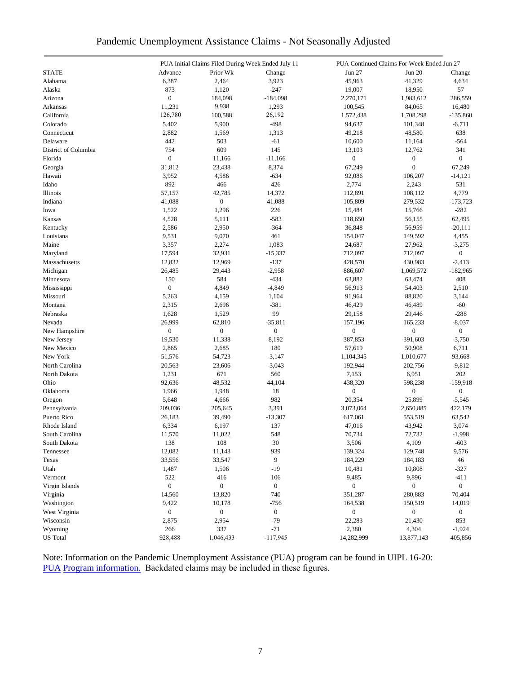|                      |                  | PUA Initial Claims Filed During Week Ended July 11 |                  | PUA Continued Claims For Week Ended Jun 27 |                  |                  |  |
|----------------------|------------------|----------------------------------------------------|------------------|--------------------------------------------|------------------|------------------|--|
| <b>STATE</b>         | Advance          | Prior Wk                                           | Change           | Jun 27                                     | <b>Jun 20</b>    | Change           |  |
| Alabama              | 6,387            | 2,464                                              | 3,923            | 45,963                                     | 41,329           | 4,634            |  |
| Alaska               | 873              | 1,120                                              | $-247$           | 19,007                                     | 18,950           | 57               |  |
| Arizona              | $\boldsymbol{0}$ | 184,098                                            | $-184,098$       | 2,270,171                                  | 1,983,612        | 286,559          |  |
| Arkansas             | 11,231           | 9,938                                              | 1,293            | 100,545                                    | 84,065           | 16,480           |  |
| California           | 126,780          | 100,588                                            | 26,192           | 1,572,438                                  | 1,708,298        | $-135,860$       |  |
| Colorado             | 5,402            | 5,900                                              | $-498$           | 94,637                                     | 101,348          | $-6,711$         |  |
| Connecticut          | 2,882            | 1,569                                              | 1,313            | 49,218                                     | 48,580           | 638              |  |
| Delaware             | 442              | 503                                                | $-61$            | 10,600                                     | 11,164           | $-564$           |  |
| District of Columbia | 754              | 609                                                | 145              | 13,103                                     | 12,762           | 341              |  |
| Florida              | $\boldsymbol{0}$ | 11,166                                             | $-11,166$        | $\boldsymbol{0}$                           | $\boldsymbol{0}$ | $\overline{0}$   |  |
| Georgia              | 31,812           | 23,438                                             | 8,374            | 67,249                                     | $\boldsymbol{0}$ | 67,249           |  |
| Hawaii               | 3,952            | 4,586                                              | $-634$           | 92,086                                     | 106,207          | $-14,121$        |  |
| Idaho                | 892              | 466                                                | 426              | 2,774                                      | 2,243            | 531              |  |
| Illinois             | 57,157           | 42,785                                             | 14,372           | 112,891                                    | 108,112          | 4,779            |  |
| Indiana              | 41,088           | $\boldsymbol{0}$                                   | 41,088           | 105,809                                    | 279,532          | $-173,723$       |  |
| Iowa                 | 1,522            | 1,296                                              | 226              | 15,484                                     | 15,766           | $-282$           |  |
| Kansas               | 4,528            | 5,111                                              | $-583$           | 118,650                                    | 56,155           | 62,495           |  |
| Kentucky             | 2,586            | 2,950                                              | $-364$           | 36,848                                     | 56,959           | $-20,111$        |  |
| Louisiana            | 9,531            | 9,070                                              | 461              | 154,047                                    | 149,592          | 4,455            |  |
| Maine                | 3,357            | 2,274                                              | 1,083            | 24,687                                     | 27,962           | $-3,275$         |  |
| Maryland             | 17,594           | 32,931                                             | $-15,337$        | 712,097                                    | 712,097          | $\overline{0}$   |  |
| Massachusetts        | 12,832           | 12,969                                             | $-137$           | 428,570                                    | 430,983          | $-2,413$         |  |
| Michigan             | 26,485           | 29,443                                             | $-2,958$         | 886,607                                    | 1,069,572        | $-182,965$       |  |
| Minnesota            | 150              | 584                                                | $-434$           | 63,882                                     | 63,474           | 408              |  |
| Mississippi          | $\boldsymbol{0}$ | 4,849                                              | $-4,849$         | 56,913                                     | 54,403           | 2,510            |  |
| Missouri             | 5,263            | 4,159                                              | 1,104            | 91,964                                     | 88,820           | 3,144            |  |
| Montana              | 2,315            | 2,696                                              | $-381$           | 46,429                                     | 46,489           | -60              |  |
| Nebraska             | 1,628            | 1,529                                              | 99               | 29,158                                     | 29,446           | $-288$           |  |
| Nevada               | 26,999           | 62,810                                             | $-35,811$        | 157,196                                    | 165,233          | $-8,037$         |  |
| New Hampshire        | $\boldsymbol{0}$ | $\boldsymbol{0}$                                   | $\boldsymbol{0}$ | $\boldsymbol{0}$                           | $\boldsymbol{0}$ | $\overline{0}$   |  |
| New Jersey           | 19,530           | 11,338                                             | 8,192            | 387,853                                    | 391,603          | $-3,750$         |  |
| New Mexico           | 2,865            | 2,685                                              | 180              | 57,619                                     | 50,908           | 6,711            |  |
| New York             | 51,576           | 54,723                                             | $-3,147$         | 1,104,345                                  | 1,010,677        | 93,668           |  |
| North Carolina       | 20,563           | 23,606                                             | $-3,043$         | 192,944                                    | 202,756          | $-9,812$         |  |
| North Dakota         | 1,231            | 671                                                | 560              | 7,153                                      | 6,951            | 202              |  |
| Ohio                 | 92,636           | 48,532                                             | 44,104           | 438,320                                    | 598,238          | $-159,918$       |  |
| Oklahoma             | 1,966            | 1,948                                              | 18               | $\boldsymbol{0}$                           | $\boldsymbol{0}$ | $\boldsymbol{0}$ |  |
| Oregon               | 5,648            | 4,666                                              | 982              | 20,354                                     | 25,899           | $-5,545$         |  |
| Pennsylvania         | 209,036          | 205,645                                            | 3,391            | 3,073,064                                  | 2,650,885        | 422,179          |  |
| Puerto Rico          | 26,183           | 39,490                                             | $-13,307$        | 617,061                                    | 553,519          | 63,542           |  |
| Rhode Island         | 6,334            | 6,197                                              | 137              | 47,016                                     | 43,942           | 3,074            |  |
| South Carolina       | 11,570           | 11,022                                             | 548              | 70,734                                     | 72,732           | $-1,998$         |  |
| South Dakota         | 138              | 108                                                | 30               | 3,506                                      | 4,109            | -603             |  |
| Tennessee            | 12,082           | 11,143                                             | 939              | 139,324                                    | 129,748          | 9,576            |  |
| Texas                | 33,556           | 33,547                                             | 9                | 184,229                                    | 184,183          | 46               |  |
| Utah                 | 1,487            | 1,506                                              | -19              | 10,481                                     | 10,808           | -327             |  |
| Vermont              | 522              | 416                                                | 106              | 9,485                                      | 9,896            | -411             |  |
| Virgin Islands       | $\boldsymbol{0}$ | $\boldsymbol{0}$                                   | $\boldsymbol{0}$ | $\boldsymbol{0}$                           | $\boldsymbol{0}$ | $\overline{0}$   |  |
| Virginia             | 14,560           | 13,820                                             | 740              | 351,287                                    | 280,883          | 70,404           |  |
| Washington           | 9,422            | 10,178                                             | $-756$           | 164,538                                    | 150,519          | 14,019           |  |
|                      |                  |                                                    |                  |                                            |                  |                  |  |

### Pandemic Unemployment Assistance Claims - Not Seasonally Adjusted

Note: Information on the Pandemic Unemployment Assistance (PUA) program can be found in UIPL 16-20[:](https://wdr.doleta.gov/directives/corr_doc.cfm?DOCN=4628)  PUA [Program inform](https://wdr.doleta.gov/directives/corr_doc.cfm?DOCN=4628)ation. Backdated claims may be included in these figures.

West Virginia  $\begin{array}{ccccccc} 0 & 0 & 0 & 0 & 0 \end{array}$ Wisconsin 2,875 2,954 -79 22,283 21,430 853 Wyoming 266 337 -71 2,380 4,304 -1,924 US Total 928,488 1,046,433 -117,945 14,282,999 13,877,143 405,856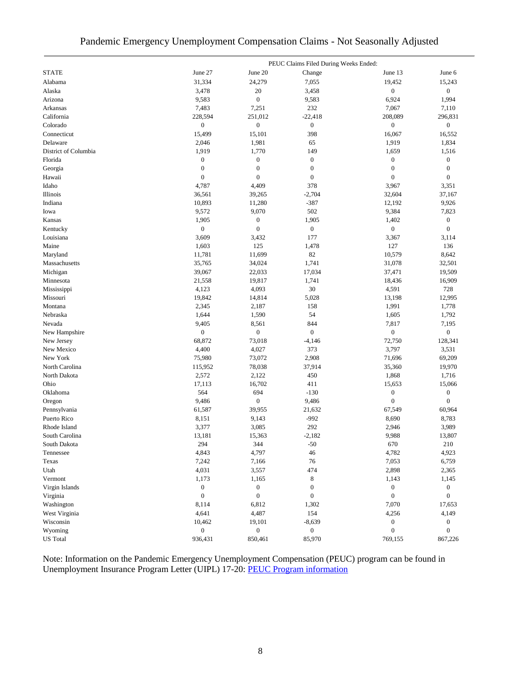## Pandemic Emergency Unemployment Compensation Claims - Not Seasonally Adjusted

|                      | PEUC Claims Filed During Weeks Ended: |                  |                  |                  |                  |  |
|----------------------|---------------------------------------|------------------|------------------|------------------|------------------|--|
| <b>STATE</b>         | June 27                               | June 20          | Change           | June 13          | June 6           |  |
| Alabama              | 31,334                                | 24,279           | 7,055            | 19,452           | 15,243           |  |
| Alaska               | 3,478                                 | 20               | 3,458            | $\boldsymbol{0}$ | $\boldsymbol{0}$ |  |
| Arizona              | 9,583                                 | $\boldsymbol{0}$ | 9,583            | 6,924            | 1,994            |  |
| Arkansas             | 7,483                                 | 7,251            | 232              | 7,067            | 7,110            |  |
| California           | 228,594                               | 251,012          | $-22,418$        | 208,089          | 296,831          |  |
| Colorado             | $\boldsymbol{0}$                      | $\boldsymbol{0}$ | $\boldsymbol{0}$ | $\boldsymbol{0}$ | $\boldsymbol{0}$ |  |
| Connecticut          | 15,499                                | 15,101           | 398              | 16,067           | 16,552           |  |
| Delaware             | 2,046                                 | 1,981            | 65               | 1,919            | 1,834            |  |
| District of Columbia | 1,919                                 | 1,770            | 149              | 1,659            | 1,516            |  |
| Florida              | $\boldsymbol{0}$                      | $\boldsymbol{0}$ | $\boldsymbol{0}$ | $\boldsymbol{0}$ | $\boldsymbol{0}$ |  |
| Georgia              | $\mathbf{0}$                          | $\boldsymbol{0}$ | $\boldsymbol{0}$ | $\boldsymbol{0}$ | $\boldsymbol{0}$ |  |
| Hawaii               | $\boldsymbol{0}$                      | $\mathbf{0}$     | $\boldsymbol{0}$ | $\boldsymbol{0}$ | $\boldsymbol{0}$ |  |
| Idaho                | 4,787                                 | 4,409            | 378              | 3,967            | 3,351            |  |
| Illinois             | 36,561                                | 39,265           | $-2,704$         | 32,604           | 37,167           |  |
| Indiana              | 10,893                                | 11,280           | $-387$           | 12,192           | 9,926            |  |
| Iowa                 | 9,572                                 | 9,070            | 502              | 9,384            | 7,823            |  |
| Kansas               | 1,905                                 | $\boldsymbol{0}$ | 1,905            | 1,402            | 0                |  |
| Kentucky             | $\boldsymbol{0}$                      | $\boldsymbol{0}$ | $\boldsymbol{0}$ | $\boldsymbol{0}$ | $\boldsymbol{0}$ |  |
| Louisiana            | 3,609                                 | 3,432            | 177              | 3,367            | 3,114            |  |
| Maine                | 1,603                                 | 125              | 1,478            | 127              | 136              |  |
| Maryland             | 11,781                                | 11,699           | 82               | 10,579           | 8,642            |  |
| Massachusetts        | 35,765                                | 34,024           | 1,741            | 31,078           | 32,501           |  |
| Michigan             | 39,067                                | 22,033           | 17,034           | 37,471           | 19,509           |  |
| Minnesota            | 21,558                                | 19,817           | 1,741            | 18,436           | 16,909           |  |
| Mississippi          | 4,123                                 | 4,093            | 30               | 4,591            | 728              |  |
| Missouri             | 19,842                                | 14,814           | 5,028            | 13,198           | 12,995           |  |
| Montana              | 2,345                                 | 2,187            | 158              | 1,991            | 1,778            |  |
| Nebraska             | 1,644                                 | 1,590            | 54               | 1,605            | 1,792            |  |
| Nevada               | 9,405                                 | 8,561            | 844              | 7,817            | 7,195            |  |
| New Hampshire        | $\boldsymbol{0}$                      | 0                | $\boldsymbol{0}$ | 0                | 0                |  |
| New Jersey           | 68,872                                | 73,018           | $-4,146$         | 72,750           | 128,341          |  |
| New Mexico           | 4,400                                 | 4,027            | 373              | 3,797            | 3,531            |  |
| New York             | 75,980                                | 73,072           | 2,908            | 71,696           | 69,209           |  |
| North Carolina       | 115,952                               | 78,038           | 37,914           | 35,360           | 19,970           |  |
| North Dakota         | 2,572                                 | 2,122            | 450              | 1,868            | 1,716            |  |
| Ohio                 | 17,113                                | 16,702           | 411              | 15,653           | 15,066           |  |
| Oklahoma             | 564                                   | 694              | $-130$           | $\boldsymbol{0}$ | $\boldsymbol{0}$ |  |
| Oregon               | 9,486                                 | $\boldsymbol{0}$ | 9,486            | $\boldsymbol{0}$ | $\boldsymbol{0}$ |  |
| Pennsylvania         | 61,587                                | 39,955           | 21,632           | 67,549           | 60,964           |  |
| Puerto Rico          | 8,151                                 | 9,143            | $-992$           | 8,690            | 8,783            |  |
| Rhode Island         | 3,377                                 | 3,085            | 292              | 2,946            | 3,989            |  |
| South Carolina       | 13,181                                | 15,363           | $-2,182$         | 9,988            | 13,807           |  |
| South Dakota         | 294                                   | 344              | $-50$            | 670              | 210              |  |
| Tennessee            | 4,843                                 | 4,797            | 46               | 4,782            | 4,923            |  |
| Texas                | 7,242                                 | 7,166            | 76               | 7,053            | 6,759            |  |
| Utah                 | 4,031                                 | 3,557            | 474              | 2,898            | 2,365            |  |
| Vermont              | 1,173                                 | 1,165            | 8                | 1,143            | 1,145            |  |
| Virgin Islands       | $\boldsymbol{0}$                      | $\boldsymbol{0}$ | $\boldsymbol{0}$ | $\boldsymbol{0}$ | $\boldsymbol{0}$ |  |
| Virginia             | $\boldsymbol{0}$                      | $\boldsymbol{0}$ | $\boldsymbol{0}$ | $\boldsymbol{0}$ | $\boldsymbol{0}$ |  |
| Washington           | 8,114                                 | 6,812            | 1,302            | 7,070            | 17,653           |  |
| West Virginia        | 4,641                                 | 4,487            | 154              | 4,256            | 4,149            |  |
| Wisconsin            | 10,462                                | 19,101           | $-8,639$         | 0                | 0                |  |
| Wyoming              | $\boldsymbol{0}$                      | $\boldsymbol{0}$ | $\boldsymbol{0}$ | $\boldsymbol{0}$ | $\boldsymbol{0}$ |  |
| <b>US</b> Total      | 936,431                               | 850,461          | 85,970           | 769,155          | 867,226          |  |

Note: Information on the Pandemic Emergency Unemployment Compensation (PEUC) program can be found in Unemployment Insurance Program Letter (UIPL) 17-20: [PEUC Program information](https://wdr.doleta.gov/directives/corr_doc.cfm?DOCN=8452)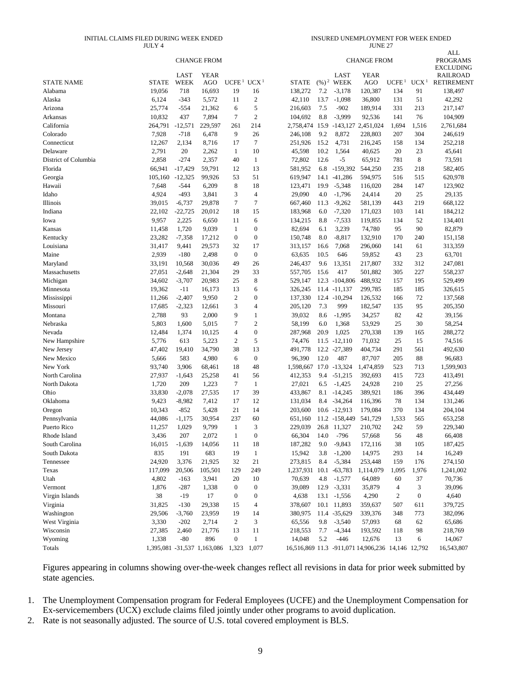#### INITIAL CLAIMS FILED DURING WEEK ENDED JULY 4

| INSURED UNEMPLOYMENT FOR WEEK ENDED |
|-------------------------------------|
| <b>JUNE 27</b>                      |

|                      |              |                     |                             |                                    |                        |              |      |                       |                                                   |                          |                  | ALL                                  |
|----------------------|--------------|---------------------|-----------------------------|------------------------------------|------------------------|--------------|------|-----------------------|---------------------------------------------------|--------------------------|------------------|--------------------------------------|
|                      |              |                     | <b>CHANGE FROM</b>          |                                    |                        |              |      |                       | <b>CHANGE FROM</b>                                |                          |                  | <b>PROGRAMS</b>                      |
|                      |              |                     |                             |                                    |                        |              |      |                       |                                                   |                          |                  | <b>EXCLUDING</b>                     |
| <b>STATE NAME</b>    | <b>STATE</b> | <b>LAST</b><br>WEEK | <b>YEAR</b><br>AGO          | UCFE <sup>1</sup> UCX <sup>1</sup> |                        | <b>STATE</b> |      | LAST<br>$(\%)^2$ WEEK | <b>YEAR</b><br>AGO                                | UCFE <sup>1</sup>        | UCX <sup>1</sup> | <b>RAILROAD</b><br><b>RETIREMENT</b> |
| Alabama              | 19,056       | 718                 | 16,693                      | 19                                 | 16                     | 138,272      | 7.2  | $-3,178$              | 120,387                                           | 134                      | 91               | 138,497                              |
| Alaska               | 6,124        | $-343$              | 5,572                       | 11                                 | $\overline{c}$         | 42,110       | 13.7 | $-1,098$              | 36,800                                            | 131                      | 51               | 42,292                               |
| Arizona              | 25,774       | $-554$              | 21,362                      | 6                                  | 5                      | 216,603      | 7.5  | $-902$                | 189,914                                           | 331                      | 213              | 217,147                              |
| Arkansas             | 10,832       | 437                 | 7,894                       | $\tau$                             | $\overline{c}$         | 104,692      | 8.8  | $-3,999$              | 92,536                                            | 141                      | 76               | 104,909                              |
| California           | 264,791      | $-12,571$           | 229,597                     | 261                                | 214                    | 2,758,474    | 15.9 | $-143,127$            | 2,451,024                                         | 1,694                    | 1,516            | 2,761,684                            |
| Colorado             | 7,928        | $-718$              | 6,478                       | 9                                  | 26                     |              | 9.2  | 8,872                 | 228,803                                           | 207                      | 304              |                                      |
|                      |              |                     |                             |                                    |                        | 246,108      |      |                       |                                                   |                          |                  | 246,619                              |
| Connecticut          | 12,267       | 2,134               | 8,716                       | 17                                 | 7                      | 251,926      | 15.2 | 4,731                 | 216,245                                           | 158                      | 134              | 252,218                              |
| Delaware             | 2,791        | 20                  | 2,262                       | $\mathbf{1}$                       | 10                     | 45,598       | 10.2 | 1,564                 | 40,625                                            | 20                       | 23               | 45,641                               |
| District of Columbia | 2,858        | $-274$              | 2,357                       | 40                                 | $\mathbf{1}$           | 72,802       | 12.6 | $-5$                  | 65,912                                            | 781                      | 8                | 73,591                               |
| Florida              | 66,941       | $-17,429$           | 59,791                      | 12                                 | 13                     | 581,952      | 6.8  | $-159,392$            | 544,250                                           | 235                      | 218              | 582,405                              |
| Georgia              | 105,160      | $-12,325$           | 99,926                      | 53                                 | 51                     | 619,947      | 14.1 | $-41,286$             | 594,975                                           | 516                      | 515              | 620,978                              |
| Hawaii               | 7,648        | $-544$              | 6,209                       | 8                                  | 18                     | 123,471      | 19.9 | $-5,348$              | 116,020                                           | 284                      | 147              | 123,902                              |
| Idaho                | 4,924        | $-493$              | 3,841                       | 3                                  | 4                      | 29,090       | 4.0  | $-1,796$              | 24,414                                            | 20                       | 25               | 29,135                               |
| Illinois             | 39,015       | $-6,737$            | 29,878                      | $\overline{7}$                     | 7                      | 667,460      | 11.3 | $-9,262$              | 581,139                                           | 443                      | 219              | 668,122                              |
| Indiana              | 22,102       | $-22,725$           | 20,012                      | 18                                 | 15                     | 183,968      | 6.0  | $-7,320$              | 171,023                                           | 103                      | 141              | 184,212                              |
| Iowa                 | 9,957        | 2,225               | 6,650                       | 11                                 | 6                      | 134,215      | 8.8  | $-7,533$              | 119,855                                           | 134                      | 52               | 134,401                              |
| Kansas               | 11,458       | 1,720               | 9,039                       | $\mathbf{1}$                       | $\mathbf{0}$           | 82,694       | 6.1  | 3,239                 | 74,780                                            | 95                       | 90               | 82,879                               |
| Kentucky             | 23,282       | $-7,358$            | 17,212                      | $\boldsymbol{0}$                   | $\mathbf{0}$           | 150,748      | 8.0  | $-8,817$              | 132,910                                           | 170                      | 240              | 151,158                              |
| Louisiana            | 31,417       | 9,441               | 29,573                      | 32                                 | 17                     | 313,157      | 16.6 | 7,068                 | 296,060                                           | 141                      | 61               | 313,359                              |
| Maine                | 2,939        | $-180$              | 2,498                       | $\boldsymbol{0}$                   | $\boldsymbol{0}$       | 63,635       | 10.5 | 646                   | 59,852                                            | 43                       | 23               | 63,701                               |
| Maryland             | 33,191       | 10,568              | 30,036                      | 49                                 | 26                     | 246,437      | 9.6  | 13,351                | 217,807                                           | 332                      | 312              | 247,081                              |
| Massachusetts        | 27,051       | $-2,648$            | 21,304                      | 29                                 | 33                     | 557,705      | 15.6 | 417                   | 501,882                                           | 305                      | 227              | 558,237                              |
| Michigan             | 34,602       | $-3,707$            | 20,983                      | 25                                 | 8                      | 529,147      |      | 12.3 -104,806         | 488,932                                           | 157                      | 195              | 529,499                              |
| Minnesota            | 19,362       | $-11$               | 16,173                      | 13                                 | 6                      | 326,245      |      | 11.4 -11,137          | 299,785                                           | 185                      | 185              | 326,615                              |
| Mississippi          | 11,266       | $-2,407$            | 9,950                       | $\mathbf{2}$                       | $\overline{0}$         | 137,330      |      | 12.4 -10,294          | 126,532                                           | 166                      | 72               | 137,568                              |
| Missouri             | 17,685       | $-2,323$            | 12,661                      | 3                                  | $\overline{4}$         | 205,120      | 7.3  | 999                   | 182,547                                           | 135                      | 95               | 205,350                              |
| Montana              | 2,788        | 93                  | 2,000                       | 9                                  | $\mathbf{1}$           | 39,032       | 8.6  | $-1,995$              | 34,257                                            | 82                       | 42               | 39,156                               |
| Nebraska             | 5,803        | 1,600               | 5,015                       | $\tau$                             | $\overline{c}$         | 58,199       | 6.0  | 1,368                 | 53,929                                            | 25                       | 30               | 58,254                               |
| Nevada               | 12,484       | 1,374               | 10,125                      | $\overline{4}$                     | $\mathbf{0}$           | 287,968      | 20.9 | 1,025                 | 270,338                                           | 139                      | 165              | 288,272                              |
| New Hampshire        | 5,776        | 613                 | 5,223                       | $\mathbf{2}$                       | 5                      | 74,476       |      | $11.5 - 12,110$       | 71,032                                            | 25                       | 15               | 74,516                               |
| New Jersey           | 47,402       | 19,410              | 34,790                      | 38                                 | 13                     | 491,778      |      | 12.2 -27,389          | 404,734                                           | 291                      | 561              | 492,630                              |
| New Mexico           | 5,666        | 583                 | 4,980                       | 6                                  | $\boldsymbol{0}$       | 96,390       | 12.0 | 487                   | 87,707                                            | 205                      | 88               | 96,683                               |
| New York             | 93,740       | 3,906               | 68,461                      | 18                                 | 48                     | 1,598,667    |      | 17.0 -13,324          | 1,474,859                                         | 523                      | 713              | 1,599,903                            |
| North Carolina       | 27,937       | $-1,643$            | 25,258                      | 41                                 | 56                     | 412,353      | 9.4  | $-51,215$             | 392,693                                           | 415                      | 723              | 413,491                              |
| North Dakota         | 1,720        | 209                 | 1,223                       | 7                                  | $\mathbf{1}$           | 27,021       | 6.5  | $-1,425$              | 24,928                                            | 210                      | 25               | 27,256                               |
| Ohio                 | 33,830       | $-2,078$            | 27,535                      | 17                                 | 39                     | 433,867      | 8.1  | $-14,245$             | 389,921                                           | 186                      | 396              | 434,449                              |
| Oklahoma             | 9,423        | $-8,982$            | 7,412                       | 17                                 | 12                     | 131,034      | 8.4  | $-34,264$             | 116,396                                           | 78                       | 134              | 131,246                              |
| Oregon               | 10,343       | $-852$              | 5,428                       | 21                                 | 14                     | 203,600      |      | $10.6 - 12.913$       | 179,084                                           | 370                      | 134              | 204,104                              |
| Pennsylvania         | 44,086       | $-1,175$            | 30,954                      | 237                                | 60                     | 651,160      |      | 11.2 -158,449         | 541,729                                           | 1,533                    | 565              | 653,258                              |
| Puerto Rico          | 11,257       | 1,029               | 9,799                       | $\mathbf{1}$                       | 3                      | 229,039      |      | 26.8 11,327           | 210,702                                           | 242                      | 59               | 229,340                              |
| Rhode Island         | 3,436        | 207                 | 2,072                       | 1                                  | $\boldsymbol{0}$       | 66,304       | 14.0 | $-796$                | 57,668                                            | 56                       | $\sqrt{48}$      | 66,408                               |
| South Carolina       | 16,015       | $-1,639$            | 14,056                      | 11                                 | 18                     | 187,282      | 9.0  | $-9,843$              | 172,116                                           | 38                       | 105              | 187,425                              |
| South Dakota         | 835          | 191                 | 683                         | 19                                 | $\mathbf{1}$           | 15,942       | 3.8  | $-1,200$              | 14,975                                            | 293                      | 14               | 16,249                               |
| Tennessee            | 24,920       | 3,376               | 21,925                      | 32                                 | 21                     | 273,815      | 8.4  | $-5,384$              | 253,448                                           | 159                      | 176              | 274,150                              |
| Texas                | 117,099      | 20,506              | 105,501                     | 129                                | 249                    | 1,237,931    | 10.1 | $-63,783$             | 1,114,079                                         | 1,095                    | 1,976            | 1,241,002                            |
| Utah                 | 4,802        |                     |                             |                                    |                        | 70,639       | 4.8  | $-1,577$              |                                                   | 60                       | 37               | 70,736                               |
| Vermont              | 1,876        | $-163$<br>$-287$    | 3,941<br>1,338              | 20<br>$\boldsymbol{0}$             | 10<br>$\boldsymbol{0}$ | 39,089       | 12.9 | $-3,331$              | 64,089<br>35,879                                  |                          | 3                | 39,096                               |
| Virgin Islands       |              |                     |                             |                                    |                        |              |      |                       |                                                   | $\overline{\mathcal{A}}$ |                  |                                      |
|                      | 38           | $-19$               | 17                          | $\boldsymbol{0}$                   | $\boldsymbol{0}$       | 4,638        |      | $13.1 - 1,556$        | 4,290                                             | 2                        | $\boldsymbol{0}$ | 4,640                                |
| Virginia             | 31,825       | $-130$              | 29,338                      | 15                                 | 4                      | 378,607      |      | 10.1 11,893           | 359,637                                           | 507                      | 611              | 379,725                              |
| Washington           | 29,506       | $-3,760$            | 23,959                      | 19                                 | 14                     | 380,975      |      | 11.4 -35,629          | 339,376                                           | 348                      | 773              | 382,096                              |
| West Virginia        | 3,330        | $-202$              | 2,714                       | $\boldsymbol{2}$                   | 3                      | 65,556       | 9.8  | $-3,540$              | 57,093                                            | 68                       | 62               | 65,686                               |
| Wisconsin            | 27,385       | 2,460               | 21,776                      | 13                                 | 11                     | 218,553      | 7.7  | $-4,344$              | 193,592                                           | 118                      | 98               | 218,769                              |
| Wyoming              | 1,338        | $-80$               | 896                         | $\boldsymbol{0}$                   | 1                      | 14,048       | 5.2  | $-446$                | 12,676                                            | 13                       | 6                | 14,067                               |
| Totals               |              |                     | 1,395,081 -31,537 1,163,086 | 1,323                              | 1,077                  |              |      |                       | 16,516,869 11.3 -911,071 14,906,236 14,146 12,792 |                          |                  | 16,543,807                           |

Figures appearing in columns showing over-the-week changes reflect all revisions in data for prior week submitted by state agencies.

- 1. The Unemployment Compensation program for Federal Employees (UCFE) and the Unemployment Compensation for Ex-servicemembers (UCX) exclude claims filed jointly under other programs to avoid duplication.
- 2. Rate is not seasonally adjusted. The source of U.S. total covered employment is BLS.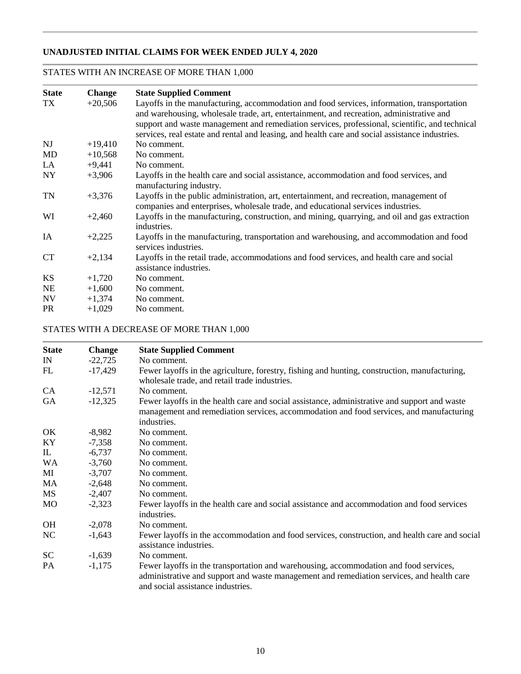### **UNADJUSTED INITIAL CLAIMS FOR WEEK ENDED JULY 4, 2020**

## STATES WITH AN INCREASE OF MORE THAN 1,000

| <b>State</b> | <b>Change</b> | <b>State Supplied Comment</b>                                                                                                                                                                                                                                                                                                                                                               |
|--------------|---------------|---------------------------------------------------------------------------------------------------------------------------------------------------------------------------------------------------------------------------------------------------------------------------------------------------------------------------------------------------------------------------------------------|
| TX           | $+20,506$     | Layoffs in the manufacturing, accommodation and food services, information, transportation<br>and warehousing, wholesale trade, art, entertainment, and recreation, administrative and<br>support and waste management and remediation services, professional, scientific, and technical<br>services, real estate and rental and leasing, and health care and social assistance industries. |
| NJ           | $+19,410$     | No comment.                                                                                                                                                                                                                                                                                                                                                                                 |
| MD           | $+10,568$     | No comment.                                                                                                                                                                                                                                                                                                                                                                                 |
| LA           | $+9,441$      | No comment.                                                                                                                                                                                                                                                                                                                                                                                 |
| <b>NY</b>    | $+3,906$      | Layoffs in the health care and social assistance, accommodation and food services, and<br>manufacturing industry.                                                                                                                                                                                                                                                                           |
| <b>TN</b>    | $+3,376$      | Layoffs in the public administration, art, entertainment, and recreation, management of<br>companies and enterprises, wholesale trade, and educational services industries.                                                                                                                                                                                                                 |
| WI           | $+2,460$      | Layoffs in the manufacturing, construction, and mining, quarrying, and oil and gas extraction<br>industries.                                                                                                                                                                                                                                                                                |
| IA           | $+2,225$      | Layoffs in the manufacturing, transportation and warehousing, and accommodation and food<br>services industries.                                                                                                                                                                                                                                                                            |
| CT           | $+2,134$      | Layoffs in the retail trade, accommodations and food services, and health care and social<br>assistance industries.                                                                                                                                                                                                                                                                         |
| <b>KS</b>    | $+1,720$      | No comment.                                                                                                                                                                                                                                                                                                                                                                                 |
| <b>NE</b>    | $+1,600$      | No comment.                                                                                                                                                                                                                                                                                                                                                                                 |
| <b>NV</b>    | $+1,374$      | No comment.                                                                                                                                                                                                                                                                                                                                                                                 |
| <b>PR</b>    | $+1,029$      | No comment.                                                                                                                                                                                                                                                                                                                                                                                 |

### STATES WITH A DECREASE OF MORE THAN 1,000

| <b>State</b> | Change    | <b>State Supplied Comment</b>                                                                                                                                                                                           |
|--------------|-----------|-------------------------------------------------------------------------------------------------------------------------------------------------------------------------------------------------------------------------|
| IN           | $-22,725$ | No comment.                                                                                                                                                                                                             |
| FL           | $-17,429$ | Fewer layoffs in the agriculture, forestry, fishing and hunting, construction, manufacturing,<br>wholesale trade, and retail trade industries.                                                                          |
| <b>CA</b>    | $-12,571$ | No comment.                                                                                                                                                                                                             |
| <b>GA</b>    | $-12,325$ | Fewer layoffs in the health care and social assistance, administrative and support and waste<br>management and remediation services, accommodation and food services, and manufacturing<br>industries.                  |
| OK           | $-8,982$  | No comment.                                                                                                                                                                                                             |
| KY           | $-7,358$  | No comment.                                                                                                                                                                                                             |
| IL           | $-6,737$  | No comment.                                                                                                                                                                                                             |
| <b>WA</b>    | $-3,760$  | No comment.                                                                                                                                                                                                             |
| MI           | $-3,707$  | No comment.                                                                                                                                                                                                             |
| MA           | $-2,648$  | No comment.                                                                                                                                                                                                             |
| MS           | $-2,407$  | No comment.                                                                                                                                                                                                             |
| MO           | $-2,323$  | Fewer layoffs in the health care and social assistance and accommodation and food services<br>industries.                                                                                                               |
| <b>OH</b>    | $-2,078$  | No comment.                                                                                                                                                                                                             |
| <b>NC</b>    | $-1,643$  | Fewer layoffs in the accommodation and food services, construction, and health care and social<br>assistance industries.                                                                                                |
| <b>SC</b>    | $-1,639$  | No comment.                                                                                                                                                                                                             |
| PA           | $-1,175$  | Fewer layoffs in the transportation and warehousing, accommodation and food services,<br>administrative and support and waste management and remediation services, and health care<br>and social assistance industries. |